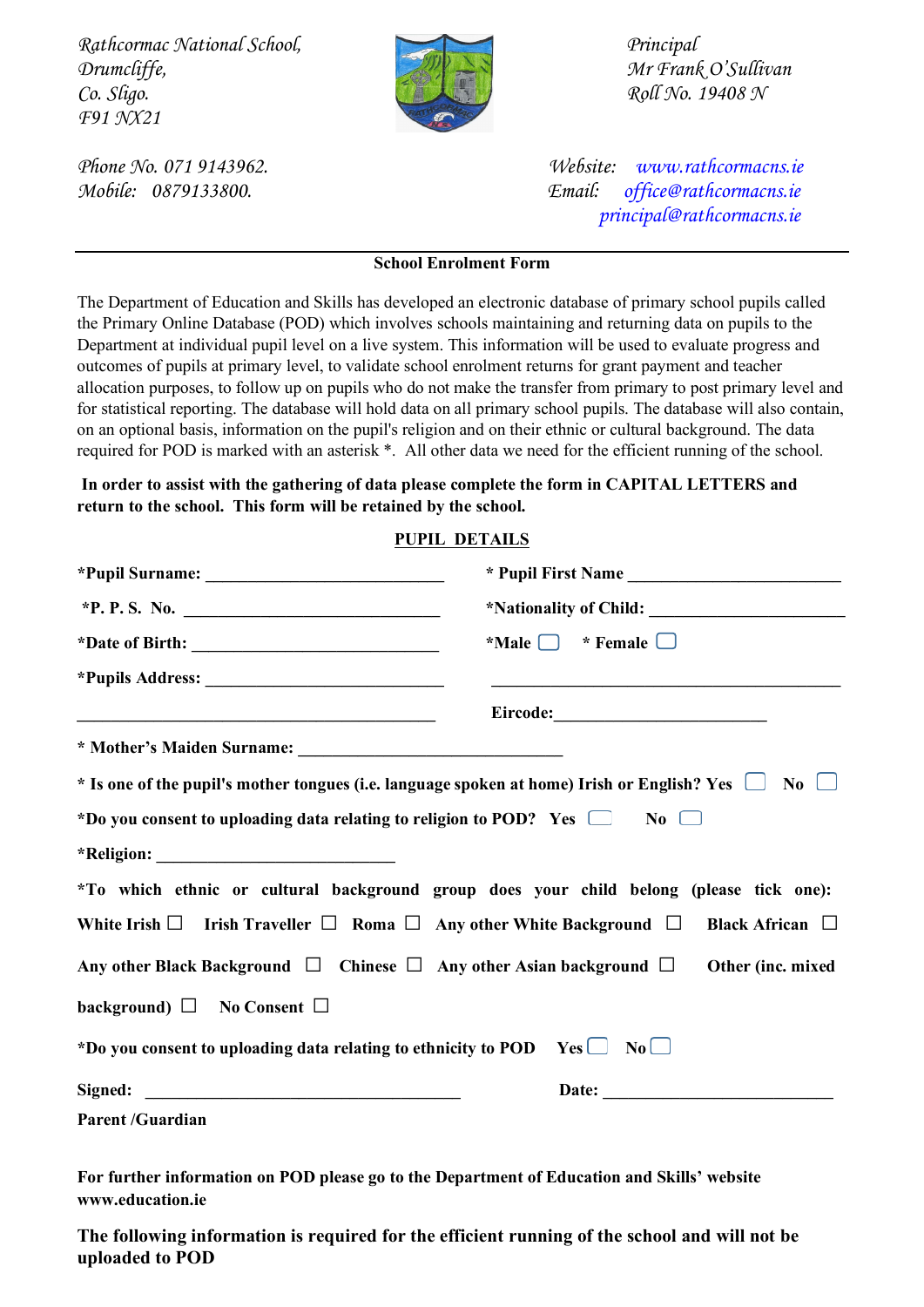*Rathcormac National School, Principal Drumcliffe, Mr Frank O'Sullivan Co. Sligo. Roll No. 19408 N F91 NX21* 



*Phone No. 071 9143962. Website: [www.rathcormacns.ie](http://www.rathcormacns.ie/)  Mobile: 0879133800. Email: [office@rathcormacns.ie](mailto:office@rathcormacns.ie) [principal@rathcormacns.ie](mailto:principal@rathcormacns.ie)*

## **School Enrolment Form**

The Department of Education and Skills has developed an electronic database of primary school pupils called the Primary Online Database (POD) which involves schools maintaining and returning data on pupils to the Department at individual pupil level on a live system. This information will be used to evaluate progress and outcomes of pupils at primary level, to validate school enrolment returns for grant payment and teacher allocation purposes, to follow up on pupils who do not make the transfer from primary to post primary level and for statistical reporting. The database will hold data on all primary school pupils. The database will also contain, on an optional basis, information on the pupil's religion and on their ethnic or cultural background. The data required for POD is marked with an asterisk \*. All other data we need for the efficient running of the school.

**In order to assist with the gathering of data please complete the form in CAPITAL LETTERS and return to the school. This form will be retained by the school.** 

## **PUPIL DETAILS**

|                                                                                                              | $*$ Male $\Box$ * Female $\Box$ |
|--------------------------------------------------------------------------------------------------------------|---------------------------------|
|                                                                                                              |                                 |
|                                                                                                              |                                 |
|                                                                                                              |                                 |
| * Is one of the pupil's mother tongues (i.e. language spoken at home) Irish or English? Yes $\Box$ No $\Box$ |                                 |
| *Do you consent to uploading data relating to religion to POD? Yes $\Box$ No $\Box$                          |                                 |
|                                                                                                              |                                 |
| *To which ethnic or cultural background group does your child belong (please tick one):                      |                                 |
| White Irish $\Box$ Irish Traveller $\Box$ Roma $\Box$ Any other White Background $\Box$                      | Black African $\Box$            |
| Any other Black Background $\Box$ Chinese $\Box$ Any other Asian background $\Box$                           | Other (inc. mixed               |
| background) $\Box$ No Consent $\Box$                                                                         |                                 |
| *Do you consent to uploading data relating to ethnicity to POD Yes $\Box$ No $\Box$                          |                                 |
|                                                                                                              |                                 |
| <b>Parent /Guardian</b>                                                                                      |                                 |

**For further information on POD please go to the Department of Education and Skills' website www.education.ie**

**The following information is required for the efficient running of the school and will not be uploaded to POD**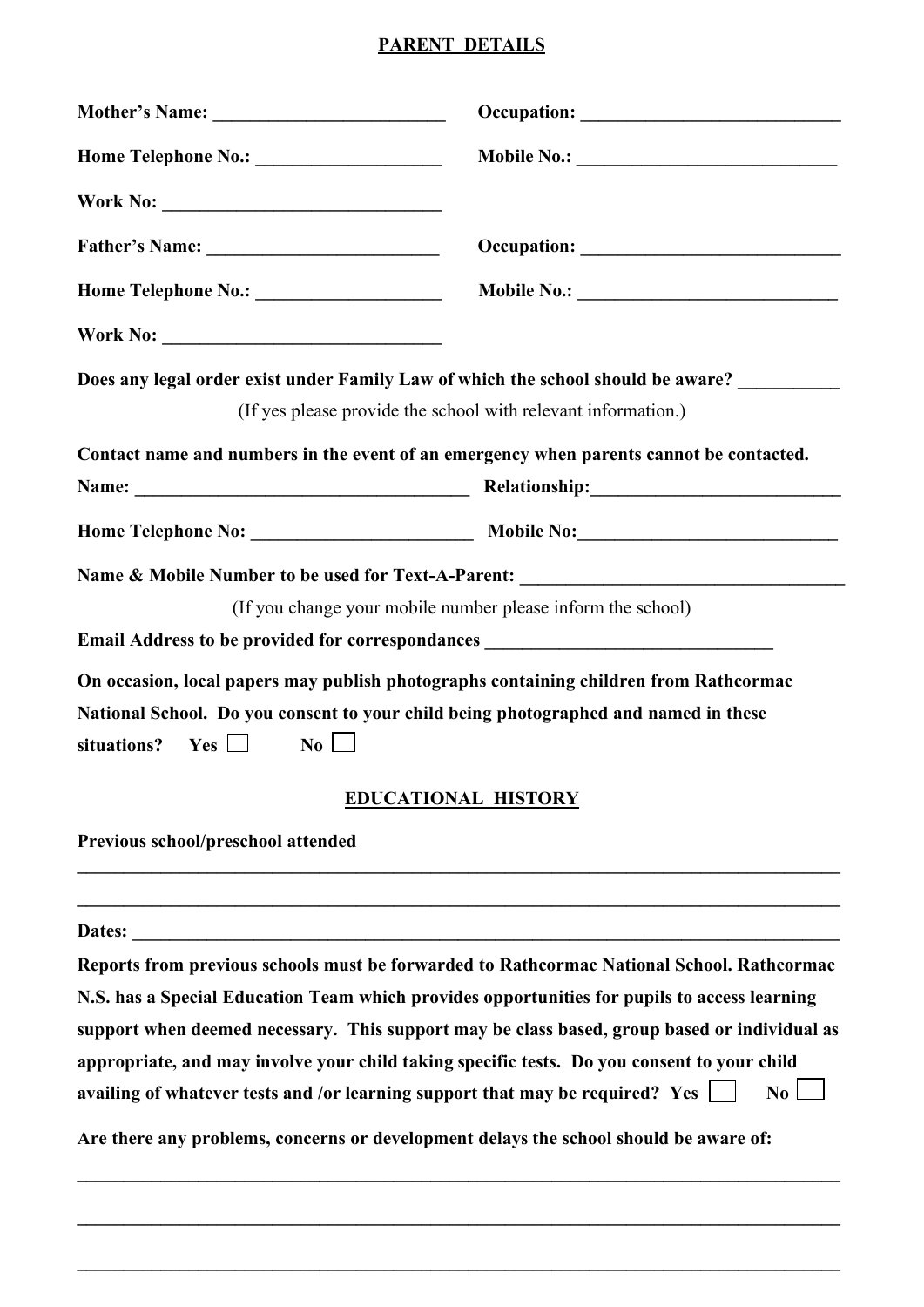## **PARENT DETAILS**

|                                                                                                                                                                                        | Does any legal order exist under Family Law of which the school should be aware?             |
|----------------------------------------------------------------------------------------------------------------------------------------------------------------------------------------|----------------------------------------------------------------------------------------------|
|                                                                                                                                                                                        | (If yes please provide the school with relevant information.)                                |
|                                                                                                                                                                                        | Contact name and numbers in the event of an emergency when parents cannot be contacted.      |
|                                                                                                                                                                                        |                                                                                              |
|                                                                                                                                                                                        | Name & Mobile Number to be used for Text-A-Parent: ______________________________            |
|                                                                                                                                                                                        | (If you change your mobile number please inform the school)                                  |
| Email Address to be provided for correspondances _______________________________                                                                                                       |                                                                                              |
| On occasion, local papers may publish photographs containing children from Rathcormac                                                                                                  |                                                                                              |
| National School. Do you consent to your child being photographed and named in these<br>$\bf Yes$ $\Box$<br>$\overline{N_0}$<br>situations?                                             |                                                                                              |
|                                                                                                                                                                                        | <b>EDUCATIONAL HISTORY</b>                                                                   |
| Previous school/preschool attended                                                                                                                                                     |                                                                                              |
|                                                                                                                                                                                        |                                                                                              |
|                                                                                                                                                                                        | Reports from previous schools must be forwarded to Rathcormac National School. Rathcormac    |
|                                                                                                                                                                                        | N.S. has a Special Education Team which provides opportunities for pupils to access learning |
|                                                                                                                                                                                        | support when deemed necessary. This support may be class based, group based or individual as |
| appropriate, and may involve your child taking specific tests. Do you consent to your child<br>availing of whatever tests and /or learning support that may be required? Yes $\lfloor$ | $\overline{\text{No}}$                                                                       |
| Are there any problems, concerns or development delays the school should be aware of:                                                                                                  |                                                                                              |
|                                                                                                                                                                                        |                                                                                              |

**\_\_\_\_\_\_\_\_\_\_\_\_\_\_\_\_\_\_\_\_\_\_\_\_\_\_\_\_\_\_\_\_\_\_\_\_\_\_\_\_\_\_\_\_\_\_\_\_\_\_\_\_\_\_\_\_\_\_\_\_\_\_\_\_\_\_\_\_\_\_\_\_\_\_\_\_\_\_\_\_\_\_**

**\_\_\_\_\_\_\_\_\_\_\_\_\_\_\_\_\_\_\_\_\_\_\_\_\_\_\_\_\_\_\_\_\_\_\_\_\_\_\_\_\_\_\_\_\_\_\_\_\_\_\_\_\_\_\_\_\_\_\_\_\_\_\_\_\_\_\_\_\_\_\_\_\_\_\_\_\_\_\_\_\_\_**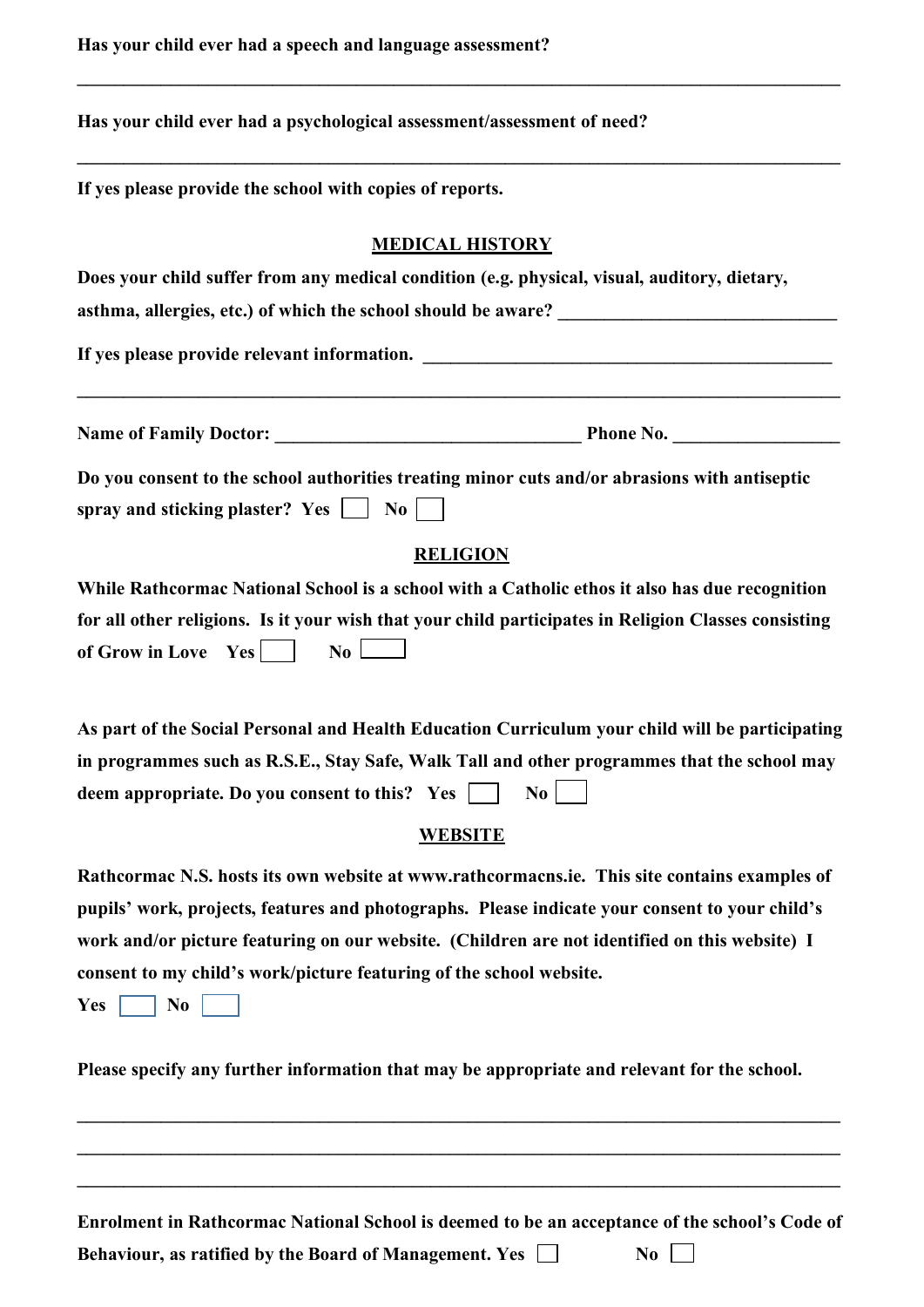**Has your child ever had a speech and language assessment?** 

|  |  |  | Has your child ever had a psychological assessment/assessment of need? |
|--|--|--|------------------------------------------------------------------------|
|--|--|--|------------------------------------------------------------------------|

**If yes please provide the school with copies of reports.**

## **MEDICAL HISTORY**

**\_\_\_\_\_\_\_\_\_\_\_\_\_\_\_\_\_\_\_\_\_\_\_\_\_\_\_\_\_\_\_\_\_\_\_\_\_\_\_\_\_\_\_\_\_\_\_\_\_\_\_\_\_\_\_\_\_\_\_\_\_\_\_\_\_\_\_\_\_\_\_\_\_\_\_\_\_\_\_\_\_\_**

**\_\_\_\_\_\_\_\_\_\_\_\_\_\_\_\_\_\_\_\_\_\_\_\_\_\_\_\_\_\_\_\_\_\_\_\_\_\_\_\_\_\_\_\_\_\_\_\_\_\_\_\_\_\_\_\_\_\_\_\_\_\_\_\_\_\_\_\_\_\_\_\_\_\_\_\_\_\_\_\_\_\_**

| Does your child suffer from any medical condition (e.g. physical, visual, auditory, dietary,                                                                                                                                         |  |
|--------------------------------------------------------------------------------------------------------------------------------------------------------------------------------------------------------------------------------------|--|
|                                                                                                                                                                                                                                      |  |
|                                                                                                                                                                                                                                      |  |
| Do you consent to the school authorities treating minor cuts and/or abrasions with antiseptic<br>spray and sticking plaster? Yes $\Box$ No $\Box$                                                                                    |  |
| <b>RELIGION</b>                                                                                                                                                                                                                      |  |
| While Rathcormac National School is a school with a Catholic ethos it also has due recognition                                                                                                                                       |  |
| for all other religions. Is it your wish that your child participates in Religion Classes consisting<br>$\mathbf{No}$ $\Box$<br>of Grow in Love $Yes$                                                                                |  |
| As part of the Social Personal and Health Education Curriculum your child will be participating                                                                                                                                      |  |
| in programmes such as R.S.E., Stay Safe, Walk Tall and other programmes that the school may                                                                                                                                          |  |
| deem appropriate. Do you consent to this? Yes<br>$\mathbf{N_0}$                                                                                                                                                                      |  |
| <b>WEBSITE</b>                                                                                                                                                                                                                       |  |
| Rathcormac N.S. hosts its own website at www.rathcormacns.ie. This site contains examples of<br>$\mathbf{r}$ , $\mathbf{r}$ , $\mathbf{r}$ , $\mathbf{r}$ , $\mathbf{r}$ , $\mathbf{r}$ , $\mathbf{r}$ , $\mathbf{r}$ , $\mathbf{r}$ |  |

**pupils' work, projects, features and photographs. Please indicate your consent to your child's work and/or picture featuring on our website. (Children are not identified on this website) I consent to my child's work/picture featuring of the school website.** 

 $Yes \frown No$ 

**Please specify any further information that may be appropriate and relevant for the school.** 

**Enrolment in Rathcormac National School is deemed to be an acceptance of the school's Code of** 

**\_\_\_\_\_\_\_\_\_\_\_\_\_\_\_\_\_\_\_\_\_\_\_\_\_\_\_\_\_\_\_\_\_\_\_\_\_\_\_\_\_\_\_\_\_\_\_\_\_\_\_\_\_\_\_\_\_\_\_\_\_\_\_\_\_\_\_\_\_\_\_\_\_\_\_\_\_\_\_\_\_\_**

**\_\_\_\_\_\_\_\_\_\_\_\_\_\_\_\_\_\_\_\_\_\_\_\_\_\_\_\_\_\_\_\_\_\_\_\_\_\_\_\_\_\_\_\_\_\_\_\_\_\_\_\_\_\_\_\_\_\_\_\_\_\_\_\_\_\_\_\_\_\_\_\_\_\_\_\_\_\_\_\_\_\_**

**\_\_\_\_\_\_\_\_\_\_\_\_\_\_\_\_\_\_\_\_\_\_\_\_\_\_\_\_\_\_\_\_\_\_\_\_\_\_\_\_\_\_\_\_\_\_\_\_\_\_\_\_\_\_\_\_\_\_\_\_\_\_\_\_\_\_\_\_\_\_\_\_\_\_\_\_\_\_\_\_\_\_**

**Behaviour, as ratified by the Board of Management. Yes**  $\Box$  **No**  $\Box$